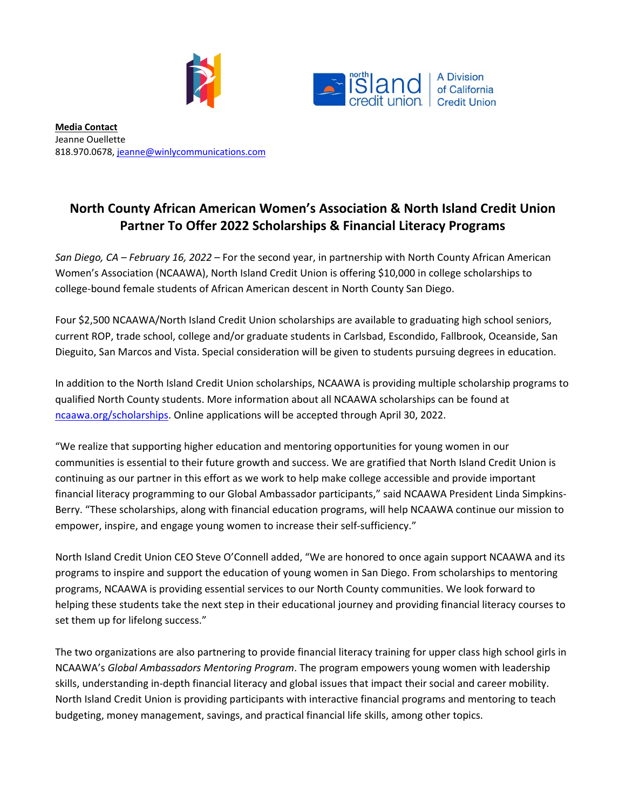



**Media Contact** Jeanne Ouellette 818.970.0678, [jeanne@winlycommunications.com](mailto:jeanne@winlycommunications.com)

## **North County African American Women's Association & North Island Credit Union Partner To Offer 2022 Scholarships & Financial Literacy Programs**

*San Diego, CA – February 16, 2022* – For the second year, in partnership with North County African American Women's Association (NCAAWA), North Island Credit Union is offering \$10,000 in college scholarships to college-bound female students of African American descent in North County San Diego.

Four \$2,500 NCAAWA/North Island Credit Union scholarships are available to graduating high school seniors, current ROP, trade school, college and/or graduate students in Carlsbad, Escondido, Fallbrook, Oceanside, San Dieguito, San Marcos and Vista. Special consideration will be given to students pursuing degrees in education.

In addition to the North Island Credit Union scholarships, NCAAWA is providing multiple scholarship programs to qualified North County students. More information about all NCAAWA scholarships can be found at [ncaawa.org/scholarships.](https://www.ncaawa.org/scholarships) Online applications will be accepted through April 30, 2022.

"We realize that supporting higher education and mentoring opportunities for young women in our communities is essential to their future growth and success. We are gratified that North Island Credit Union is continuing as our partner in this effort as we work to help make college accessible and provide important financial literacy programming to our Global Ambassador participants," said NCAAWA President Linda Simpkins-Berry. "These scholarships, along with financial education programs, will help NCAAWA continue our mission to empower, inspire, and engage young women to increase their self-sufficiency."

North Island Credit Union CEO Steve O'Connell added, "We are honored to once again support NCAAWA and its programs to inspire and support the education of young women in San Diego. From scholarships to mentoring programs, NCAAWA is providing essential services to our North County communities. We look forward to helping these students take the next step in their educational journey and providing financial literacy courses to set them up for lifelong success."

The two organizations are also partnering to provide financial literacy training for upper class high school girls in NCAAWA's *Global Ambassadors Mentoring Program*. The program empowers young women with leadership skills, understanding in-depth financial literacy and global issues that impact their social and career mobility. North Island Credit Union is providing participants with interactive financial programs and mentoring to teach budgeting, money management, savings, and practical financial life skills, among other topics.